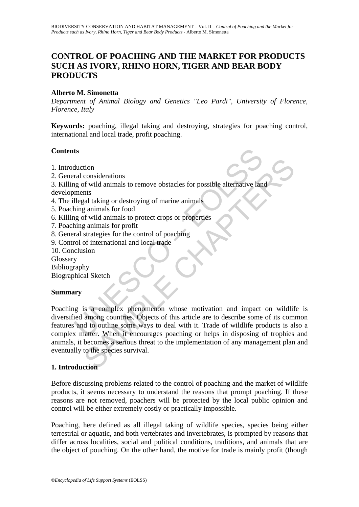# **CONTROL OF POACHING AND THE MARKET FOR PRODUCTS SUCH AS IVORY, RHINO HORN, TIGER AND BEAR BODY PRODUCTS**

### **Alberto M. Simonetta**

*Department of Animal Biology and Genetics "Leo Pardi", University of Florence, Florence, Italy* 

**Keywords:** poaching, illegal taking and destroying, strategies for poaching control, international and local trade, profit poaching.

#### **Contents**

- 1. Introduction
- 2. General considerations
- 3. Killing of wild animals to remove obstacles for possible alternative land

developments

- 4. The illegal taking or destroying of marine animals
- 5. Poaching animals for food
- 6. Killing of wild animals to protect crops or properties
- 7. Poaching animals for profit
- 8. General strategies for the control of poaching
- 9. Control of international and local trade
- 10. Conclusion

Glossary

Bibliography

Biographical Sketch

#### **Summary**

ts<br>
duction<br>
ral considerations<br>
ral considerations<br>
go of wild animals to remove obstacles for possible alternative lan<br>
ments<br>
llegal taking or destroying of marine animals<br>
ing animals for product crops or properties<br>
r tion<br>
considerations<br>
or considerations<br>
or considerations<br>
that<br>
tating or destroying of marine animals<br>
g animals for proofit<br>
g animals to proofit<br>
g animals to proofit<br>
strategies for the control of poaching<br>
strategie Poaching is a complex phenomenon whose motivation and impact on wildlife is diversified among countries. Objects of this article are to describe some of its common features and to outline some ways to deal with it. Trade of wildlife products is also a complex matter. When it encourages poaching or helps in disposing of trophies and animals, it becomes a serious threat to the implementation of any management plan and eventually to the species survival.

#### **1. Introduction**

Before discussing problems related to the control of poaching and the market of wildlife products, it seems necessary to understand the reasons that prompt poaching. If these reasons are not removed, poachers will be protected by the local public opinion and control will be either extremely costly or practically impossible.

Poaching, here defined as all illegal taking of wildlife species, species being either terrestrial or aquatic, and both vertebrates and invertebrates, is prompted by reasons that differ across localities, social and political conditions, traditions, and animals that are the object of pouching. On the other hand, the motive for trade is mainly profit (though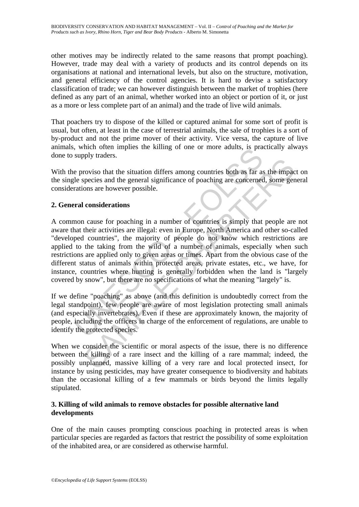other motives may be indirectly related to the same reasons that prompt poaching). However, trade may deal with a variety of products and its control depends on its organisations at national and international levels, but also on the structure, motivation, and general efficiency of the control agencies. It is hard to devise a satisfactory classification of trade; we can however distinguish between the market of trophies (here defined as any part of an animal, whether worked into an object or portion of it, or just as a more or less complete part of an animal) and the trade of live wild animals.

That poachers try to dispose of the killed or captured animal for some sort of profit is usual, but often, at least in the case of terrestrial animals, the sale of trophies is a sort of by-product and not the prime mover of their activity. Vice versa, the capture of live animals, which often implies the killing of one or more adults, is practically always done to supply traders.

With the proviso that the situation differs among countries both as far as the impact on the single species and the general significance of poaching are concerned, some general considerations are however possible.

# **2. General considerations**

which other implies the kining of one of interestingly traders.<br>
Supply traders.<br>
Supply traders.<br>
Le proviso that the situation differs among countries both as far as<br>
le species and the general significance of poaching a From the situation differs among countries both as far as the impact proviso that the situation differs among countries both as far as the impact process and the general significance of poaching are concerned, some ger ons A common cause for poaching in a number of countries is simply that people are not aware that their activities are illegal: even in Europe, North America and other so-called "developed countries", the majority of people do not know which restrictions are applied to the taking from the wild of a number of animals, especially when such restrictions are applied only to given areas or times. Apart from the obvious case of the different status of animals within protected areas, private estates, etc., we have, for instance, countries where hunting is generally forbidden when the land is "largely covered by snow", but there are no specifications of what the meaning "largely" is.

If we define "poaching" as above (and this definition is undoubtedly correct from the legal standpoint), few people are aware of most legislation protecting small animals (and especially invertebrates). Even if these are approximately known, the majority of people, including the officers in charge of the enforcement of regulations, are unable to identify the protected species.

When we consider the scientific or moral aspects of the issue, there is no difference between the killing of a rare insect and the killing of a rare mammal; indeed, the possibly unplanned, massive killing of a very rare and local protected insect, for instance by using pesticides, may have greater consequence to biodiversity and habitats than the occasional killing of a few mammals or birds beyond the limits legally stipulated.

### **3. Killing of wild animals to remove obstacles for possible alternative land developments**

One of the main causes prompting conscious poaching in protected areas is when particular species are regarded as factors that restrict the possibility of some exploitation of the inhabited area, or are considered as otherwise harmful.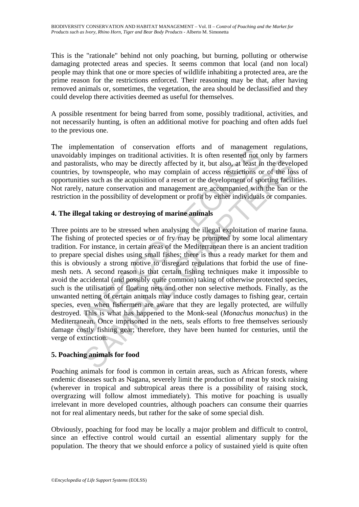This is the "rationale" behind not only poaching, but burning, polluting or otherwise damaging protected areas and species. It seems common that local (and non local) people may think that one or more species of wildlife inhabiting a protected area, are the prime reason for the restrictions enforced. Their reasoning may be that, after having removed animals or, sometimes, the vegetation, the area should be declassified and they could develop there activities deemed as useful for themselves.

A possible resentment for being barred from some, possibly traditional, activities, and not necessarily hunting, is often an additional motive for poaching and often adds fuel to the previous one.

The implementation of conservation efforts and of management regulations, unavoidably impinges on traditional activities. It is often resented not only by farmers and pastoralists, who may be directly affected by it, but also, at least in the developed countries, by townspeople, who may complain of access restrictions or of the loss of opportunities such as the acquisition of a resort or the development of sporting facilities. Not rarely, nature conservation and management are accompanied with the ban or the restriction in the possibility of development or profit by either individuals or companies.

# **4. The illegal taking or destroying of marine animals**

mementation of conservation and of matigmeterication<br>lably impinges on traditional activities. It is often resented not of<br>toralists, who may be directly affected by it, but also, at least in<br>s. by townspeople, who may com istists, who may be directly affected by it, but also, at least in the develoy townspeople, who may complain of access restrictions or of the lose such as the acquisition of a resort or the development of sporting faciliti Three points are to be stressed when analysing the illegal exploitation of marine fauna. The fishing of protected species or of fry may be prompted by some local alimentary tradition. For instance, in certain areas of the Mediterranean there is an ancient tradition to prepare special dishes using small fishes; there is thus a ready market for them and this is obviously a strong motive to disregard regulations that forbid the use of finemesh nets. A second reason is that certain fishing techniques make it impossible to avoid the accidental (and possibly quite common) taking of otherwise protected species, such is the utilisation of floating nets and other non selective methods. Finally, as the unwanted netting of certain animals may induce costly damages to fishing gear, certain species, even when fishermen are aware that they are legally protected, are wilfully destroyed. This is what has happened to the Monk-seal (*Monachus monachus*) in the Mediterranean. Once imprisoned in the nets, seals efforts to free themselves seriously damage costly fishing gear; therefore, they have been hunted for centuries, until the verge of extinction.

# **5. Poaching animals for food**

Poaching animals for food is common in certain areas, such as African forests, where endemic diseases such as Nagana, severely limit the production of meat by stock raising (wherever in tropical and subtropical areas there is a possibility of raising stock, overgrazing will follow almost immediately). This motive for poaching is usually irrelevant in more developed countries, although poachers can consume their quarries not for real alimentary needs, but rather for the sake of some special dish.

Obviously, poaching for food may be locally a major problem and difficult to control, since an effective control would curtail an essential alimentary supply for the population. The theory that we should enforce a policy of sustained yield is quite often